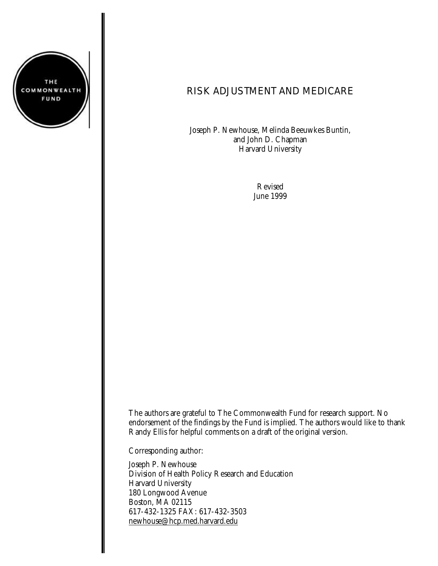

# RISK ADJUSTMENT AND MEDICARE

Joseph P. Newhouse, Melinda Beeuwkes Buntin, and John D. Chapman Harvard University

> Revised June 1999

The authors are grateful to The Commonwealth Fund for research support. No endorsement of the findings by the Fund is implied. The authors would like to thank Randy Ellis for helpful comments on a draft of the original version.

Corresponding author:

Joseph P. Newhouse Division of Health Policy Research and Education Harvard University 180 Longwood Avenue Boston, MA 02115 617-432-1325 FAX: 617-432-3503 newhouse@hcp.med.harvard.edu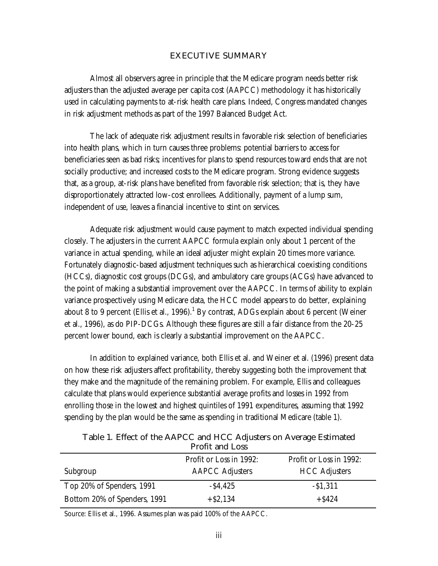#### **EXECUTIVE SUMMARY**

Almost all observers agree in principle that the Medicare program needs better risk adjusters than the adjusted average per capita cost (AAPCC) methodology it has historically used in calculating payments to at-risk health care plans. Indeed, Congress mandated changes in risk adjustment methods as part of the 1997 Balanced Budget Act.

The lack of adequate risk adjustment results in favorable risk selection of beneficiaries into health plans, which in turn causes three problems: potential barriers to access for beneficiaries seen as bad risks; incentives for plans to spend resources toward ends that are not socially productive; and increased costs to the Medicare program. Strong evidence suggests that, as a group, at-risk plans have benefited from favorable risk selection; that is, they have disproportionately attracted low-cost enrollees. Additionally, payment of a lump sum, independent of use, leaves a financial incentive to stint on services.

Adequate risk adjustment would cause payment to match expected individual spending closely. The adjusters in the current AAPCC formula explain only about 1 percent of the variance in actual spending, while an ideal adjuster might explain 20 times more variance. Fortunately diagnostic-based adjustment techniques such as hierarchical coexisting conditions (HCCs), diagnostic cost groups (DCGs), and ambulatory care groups (ACGs) have advanced to the point of making a substantial improvement over the AAPCC. In terms of ability to explain variance prospectively using Medicare data, the HCC model appears to do better, explaining about 8 to 9 percent (Ellis et al., 1996). $^1$  By contrast, ADGs explain about 6 percent (Weiner et al., 1996), as do PIP-DCGs. Although these figures are still a fair distance from the 20-25 percent lower bound, each is clearly a substantial improvement on the AAPCC.

In addition to explained variance, both Ellis et al. and Weiner et al. (1996) present data on how these risk adjusters affect profitability, thereby suggesting both the improvement that they make and the magnitude of the remaining problem. For example, Ellis and colleagues calculate that plans would experience substantial average profits and losses in 1992 from enrolling those in the lowest and highest quintiles of 1991 expenditures, assuming that 1992 spending by the plan would be the same as spending in traditional Medicare (table 1).

| Profit and Loss              |                         |                         |  |
|------------------------------|-------------------------|-------------------------|--|
|                              | Profit or Loss in 1992: | Profit or Loss in 1992: |  |
| Subgroup                     | <b>AAPCC Adjusters</b>  | <b>HCC Adjusters</b>    |  |
| Top 20% of Spenders, 1991    | $-$ \$4,425             | $-$ \$1,311             |  |
| Bottom 20% of Spenders, 1991 | $+ $2,134$              | $+$ \$424               |  |

**Table 1. Effect of the AAPCC and HCC Adjusters on Average Estimated Profit and Loss**

Source: Ellis et al., 1996. Assumes plan was paid 100% of the AAPCC.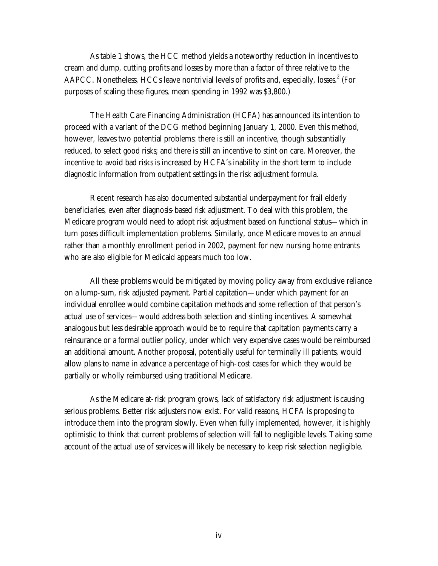As table 1 shows, the HCC method yields a noteworthy reduction in incentives to cream and dump, cutting profits and losses by more than a factor of three relative to the AAPCC. Nonetheless, HCCs leave nontrivial levels of profits and, especially, losses.<sup>2</sup> (For purposes of scaling these figures, mean spending in 1992 was \$3,800.)

The Health Care Financing Administration (HCFA) has announced its intention to proceed with a variant of the DCG method beginning January 1, 2000. Even this method, however, leaves two potential problems: there is still an incentive, though substantially reduced, to select good risks; and there is still an incentive to stint on care. Moreover, the incentive to avoid bad risks is increased by HCFA's inability in the short term to include diagnostic information from outpatient settings in the risk adjustment formula.

Recent research has also documented substantial underpayment for frail elderly beneficiaries, even after diagnosis-based risk adjustment. To deal with this problem, the Medicare program would need to adopt risk adjustment based on functional status—which in turn poses difficult implementation problems. Similarly, once Medicare moves to an annual rather than a monthly enrollment period in 2002, payment for new nursing home entrants who are also eligible for Medicaid appears much too low.

All these problems would be mitigated by moving policy away from exclusive reliance on a lump-sum, risk adjusted payment. Partial capitation—under which payment for an individual enrollee would combine capitation methods and some reflection of that person's actual use of services—would address both selection and stinting incentives. A somewhat analogous but less desirable approach would be to require that capitation payments carry a reinsurance or a formal outlier policy, under which very expensive cases would be reimbursed an additional amount. Another proposal, potentially useful for terminally ill patients, would allow plans to name in advance a percentage of high-cost cases for which they would be partially or wholly reimbursed using traditional Medicare.

As the Medicare at-risk program grows, lack of satisfactory risk adjustment is causing serious problems. Better risk adjusters now exist. For valid reasons, HCFA is proposing to introduce them into the program slowly. Even when fully implemented, however, it is highly optimistic to think that current problems of selection will fall to negligible levels. Taking some account of the actual use of services will likely be necessary to keep risk selection negligible.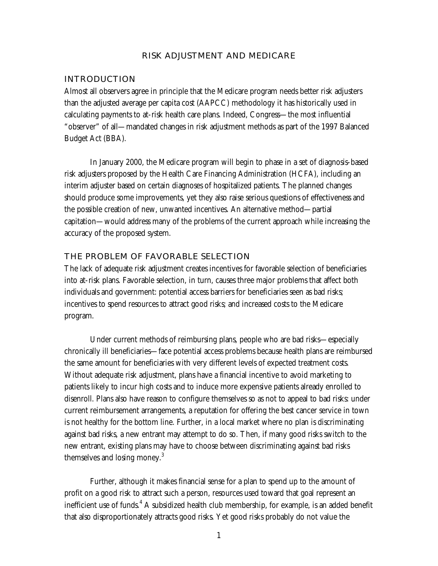#### **RISK ADJUSTMENT AND MEDICARE**

#### **INTRODUCTION**

Almost all observers agree in principle that the Medicare program needs better risk adjusters than the adjusted average per capita cost (AAPCC) methodology it has historically used in calculating payments to at-risk health care plans. Indeed, Congress—the most influential "observer" of all—mandated changes in risk adjustment methods as part of the 1997 Balanced Budget Act (BBA).

In January 2000, the Medicare program will begin to phase in a set of diagnosis-based risk adjusters proposed by the Health Care Financing Administration (HCFA), including an interim adjuster based on certain diagnoses of hospitalized patients. The planned changes should produce some improvements, yet they also raise serious questions of effectiveness and the possible creation of new, unwanted incentives. An alternative method—partial capitation—would address many of the problems of the current approach while increasing the accuracy of the proposed system.

#### **THE PROBLEM OF FAVORABLE SELECTION**

The lack of adequate risk adjustment creates incentives for favorable selection of beneficiaries into at-risk plans. Favorable selection, in turn, causes three major problems that affect both individuals and government: potential access barriers for beneficiaries seen as bad risks; incentives to spend resources to attract good risks; and increased costs to the Medicare program.

Under current methods of reimbursing plans, people who are bad risks—especially chronically ill beneficiaries—face potential access problems because health plans are reimbursed the same amount for beneficiaries with very different levels of expected treatment costs. Without adequate risk adjustment, plans have a financial incentive to avoid marketing to patients likely to incur high costs and to induce more expensive patients already enrolled to disenroll. Plans also have reason to configure themselves so as not to appeal to bad risks: under current reimbursement arrangements, a reputation for offering the best cancer service in town is not healthy for the bottom line. Further, in a local market where no plan is discriminating against bad risks, a new entrant may attempt to do so. Then, if many good risks switch to the new entrant, existing plans may have to choose between discriminating against bad risks themselves and losing money.<sup>3</sup>

Further, although it makes financial sense for a plan to spend up to the amount of profit on a good risk to attract such a person, resources used toward that goal represent an inefficient use of funds.<sup>4</sup> A subsidized health club membership, for example, is an added benefit that also disproportionately attracts good risks. Yet good risks probably do not value the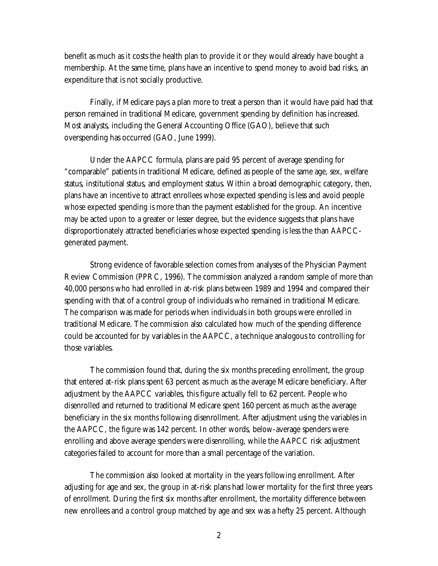benefit as much as it costs the health plan to provide it or they would already have bought a membership. At the same time, plans have an incentive to spend money to avoid bad risks, an expenditure that is not socially productive.

Finally, if Medicare pays a plan more to treat a person than it would have paid had that person remained in traditional Medicare, government spending by definition has increased. Most analysts, including the General Accounting Office (GAO), believe that such overspending has occurred (GAO, June 1999).

Under the AAPCC formula, plans are paid 95 percent of average spending for "comparable" patients in traditional Medicare, defined as people of the same age, sex, welfare status, institutional status, and employment status. Within a broad demographic category, then, plans have an incentive to attract enrollees whose expected spending is less and avoid people whose expected spending is more than the payment established for the group. An incentive may be acted upon to a greater or lesser degree, but the evidence suggests that plans have disproportionately attracted beneficiaries whose expected spending is less the than AAPCCgenerated payment.

Strong evidence of favorable selection comes from analyses of the Physician Payment Review Commission (PPRC, 1996). The commission analyzed a random sample of more than 40,000 persons who had enrolled in at-risk plans between 1989 and 1994 and compared their spending with that of a control group of individuals who remained in traditional Medicare. The comparison was made for periods when individuals in both groups were enrolled in traditional Medicare. The commission also calculated how much of the spending difference could be accounted for by variables in the AAPCC, a technique analogous to controlling for those variables.

The commission found that, during the six months preceding enrollment, the group that entered at-risk plans spent 63 percent as much as the average Medicare beneficiary. After adjustment by the AAPCC variables, this figure actually fell to 62 percent. People who disenrolled and returned to traditional Medicare spent 160 percent as much as the average beneficiary in the six months following disenrollment. After adjustment using the variables in the AAPCC, the figure was 142 percent. In other words, below-average spenders were enrolling and above average spenders were disenrolling, while the AAPCC risk adjustment categories failed to account for more than a small percentage of the variation.

The commission also looked at mortality in the years following enrollment. After adjusting for age and sex, the group in at-risk plans had lower mortality for the first three years of enrollment. During the first six months after enrollment, the mortality difference between new enrollees and a control group matched by age and sex was a hefty 25 percent. Although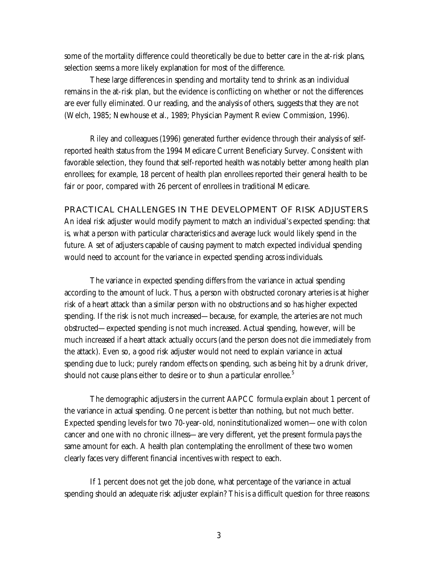some of the mortality difference could theoretically be due to better care in the at-risk plans, selection seems a more likely explanation for most of the difference.

These large differences in spending and mortality tend to shrink as an individual remains in the at-risk plan, but the evidence is conflicting on whether or not the differences are ever fully eliminated. Our reading, and the analysis of others, suggests that they are not (Welch, 1985; Newhouse et al., 1989; Physician Payment Review Commission, 1996).

Riley and colleagues (1996) generated further evidence through their analysis of selfreported health status from the 1994 Medicare Current Beneficiary Survey. Consistent with favorable selection, they found that self-reported health was notably better among health plan enrollees; for example, 18 percent of health plan enrollees reported their general health to be fair or poor, compared with 26 percent of enrollees in traditional Medicare.

**PRACTICAL CHALLENGES IN THE DEVELOPMENT OF RISK ADJUSTERS** An ideal risk adjuster would modify payment to match an individual's expected spending: that is, what a person with particular characteristics and average luck would likely spend in the future. A set of adjusters capable of causing payment to match expected individual spending would need to account for the variance in expected spending across individuals.

The variance in expected spending differs from the variance in actual spending according to the amount of luck. Thus, a person with obstructed coronary arteries is at higher risk of a heart attack than a similar person with no obstructions and so has higher expected spending. If the risk is not much increased—because, for example, the arteries are not much obstructed—expected spending is not much increased. Actual spending, however, will be much increased if a heart attack actually occurs (and the person does not die immediately from the attack). Even so, a good risk adjuster would not need to explain variance in actual spending due to luck; purely random effects on spending, such as being hit by a drunk driver, should not cause plans either to desire or to shun a particular enrollee.<sup>5</sup>

The demographic adjusters in the current AAPCC formula explain about 1 percent of the variance in actual spending. One percent is better than nothing, but not much better. Expected spending levels for two 70-year-old, noninstitutionalized women—one with colon cancer and one with no chronic illness—are very different, yet the present formula pays the same amount for each. A health plan contemplating the enrollment of these two women clearly faces very different financial incentives with respect to each.

If 1 percent does not get the job done, what percentage of the variance in actual spending should an adequate risk adjuster explain? This is a difficult question for three reasons: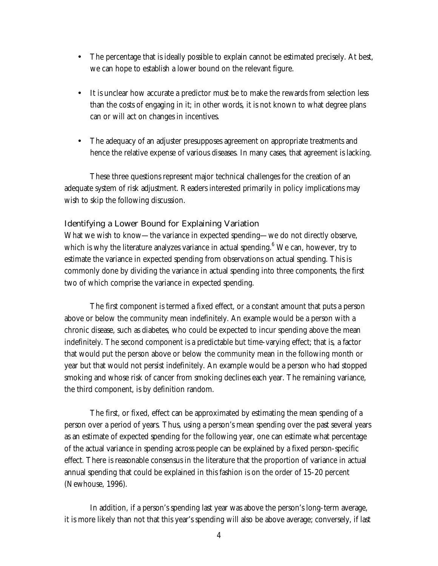- The percentage that is ideally possible to explain cannot be estimated precisely. At best, we can hope to establish a lower bound on the relevant figure.
- It is unclear how accurate a predictor must be to make the rewards from selection less than the costs of engaging in it; in other words, it is not known to what degree plans can or will act on changes in incentives.
- The adequacy of an adjuster presupposes agreement on appropriate treatments and hence the relative expense of various diseases. In many cases, that agreement is lacking.

These three questions represent major technical challenges for the creation of an adequate system of risk adjustment. Readers interested primarily in policy implications may wish to skip the following discussion.

### **Identifying a Lower Bound for Explaining Variation**

What we wish to know—the variance in expected spending—we do not directly observe, which is why the literature analyzes variance in actual spending.<sup>6</sup> We can, however, try to estimate the variance in expected spending from observations on actual spending. This is commonly done by dividing the variance in actual spending into three components, the first two of which comprise the variance in expected spending.

The first component is termed a fixed effect, or a constant amount that puts a person above or below the community mean indefinitely. An example would be a person with a chronic disease, such as diabetes, who could be expected to incur spending above the mean indefinitely. The second component is a predictable but time-varying effect; that is, a factor that would put the person above or below the community mean in the following month or year but that would not persist indefinitely. An example would be a person who had stopped smoking and whose risk of cancer from smoking declines each year. The remaining variance, the third component, is by definition random.

The first, or fixed, effect can be approximated by estimating the mean spending of a person over a period of years. Thus, using a person's mean spending over the past several years as an estimate of expected spending for the following year, one can estimate what percentage of the actual variance in spending across people can be explained by a fixed person-specific effect. There is reasonable consensus in the literature that the proportion of variance in actual annual spending that could be explained in this fashion is on the order of 15-20 percent (Newhouse, 1996).

In addition, if a person's spending last year was above the person's long-term average, it is more likely than not that this year's spending will also be above average; conversely, if last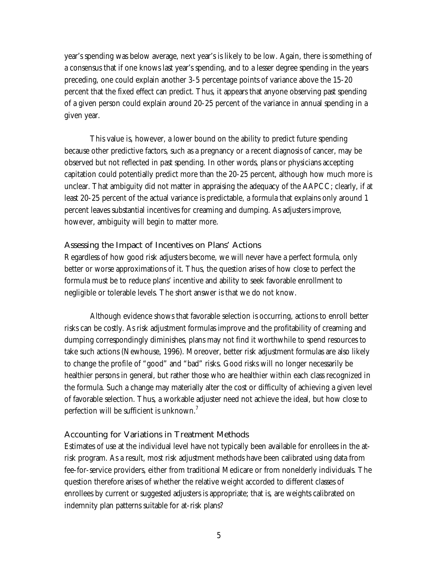year's spending was below average, next year's is likely to be low. Again, there is something of a consensus that if one knows last year's spending, and to a lesser degree spending in the years preceding, one could explain another 3-5 percentage points of variance above the 15-20 percent that the fixed effect can predict. Thus, it appears that anyone observing past spending of a given person could explain around 20-25 percent of the variance in annual spending in a given year.

This value is, however, a lower bound on the ability to predict future spending because other predictive factors, such as a pregnancy or a recent diagnosis of cancer, may be observed but not reflected in past spending. In other words, plans or physicians accepting capitation could potentially predict more than the 20-25 percent, although how much more is unclear. That ambiguity did not matter in appraising the adequacy of the AAPCC; clearly, if at least 20-25 percent of the actual variance is predictable, a formula that explains only around 1 percent leaves substantial incentives for creaming and dumping. As adjusters improve, however, ambiguity will begin to matter more.

### **Assessing the Impact of Incentives on Plans' Actions**

Regardless of how good risk adjusters become, we will never have a perfect formula, only better or worse approximations of it. Thus, the question arises of how close to perfect the formula must be to reduce plans' incentive and ability to seek favorable enrollment to negligible or tolerable levels. The short answer is that we do not know.

Although evidence shows that favorable selection is occurring, actions to enroll better risks can be costly. As risk adjustment formulas improve and the profitability of creaming and dumping correspondingly diminishes, plans may not find it worthwhile to spend resources to take such actions (Newhouse, 1996). Moreover, better risk adjustment formulas are also likely to change the profile of "good" and "bad" risks. Good risks will no longer necessarily be healthier persons in general, but rather those who are healthier within each class recognized in the formula. Such a change may materially alter the cost or difficulty of achieving a given level of favorable selection. Thus, a workable adjuster need not achieve the ideal, but how close to perfection will be sufficient is unknown. $'$ 

## **Accounting for Variations in Treatment Methods**

Estimates of use at the individual level have not typically been available for enrollees in the atrisk program. As a result, most risk adjustment methods have been calibrated using data from fee-for-service providers, either from traditional Medicare or from nonelderly individuals. The question therefore arises of whether the relative weight accorded to different classes of enrollees by current or suggested adjusters is appropriate; that is, are weights calibrated on indemnity plan patterns suitable for at-risk plans?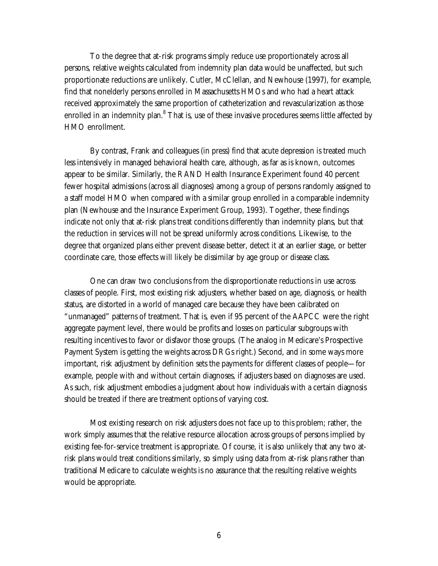To the degree that at-risk programs simply reduce use proportionately across all persons, relative weights calculated from indemnity plan data would be unaffected, but such proportionate reductions are unlikely. Cutler, McClellan, and Newhouse (1997), for example, find that nonelderly persons enrolled in Massachusetts HMOs and who had a heart attack received approximately the same proportion of catheterization and revascularization as those enrolled in an indemnity plan. $^8$  That is, use of these invasive procedures seems little affected by HMO enrollment.

By contrast, Frank and colleagues (in press) find that acute depression is treated much less intensively in managed behavioral health care, although, as far as is known, outcomes appear to be similar. Similarly, the RAND Health Insurance Experiment found 40 percent fewer hospital admissions (across all diagnoses) among a group of persons randomly assigned to a staff model HMO when compared with a similar group enrolled in a comparable indemnity plan (Newhouse and the Insurance Experiment Group, 1993). Together, these findings indicate not only that at-risk plans treat conditions differently than indemnity plans, but that the reduction in services will not be spread uniformly across conditions. Likewise, to the degree that organized plans either prevent disease better, detect it at an earlier stage, or better coordinate care, those effects will likely be dissimilar by age group or disease class.

One can draw two conclusions from the disproportionate reductions in use across classes of people. First, most existing risk adjusters, whether based on age, diagnosis, or health status, are distorted in a world of managed care because they have been calibrated on "unmanaged" patterns of treatment. That is, even if 95 percent of the AAPCC were the right aggregate payment level, there would be profits and losses on particular subgroups with resulting incentives to favor or disfavor those groups. (The analog in Medicare's Prospective Payment System is getting the weights across DRGs right.) Second, and in some ways more important, risk adjustment by definition sets the payments for different classes of people—for example, people with and without certain diagnoses, if adjusters based on diagnoses are used. As such, risk adjustment embodies a judgment about how individuals with a certain diagnosis should be treated if there are treatment options of varying cost.

Most existing research on risk adjusters does not face up to this problem; rather, the work simply assumes that the relative resource allocation across groups of persons implied by existing fee-for-service treatment is appropriate. Of course, it is also unlikely that any two atrisk plans would treat conditions similarly, so simply using data from at-risk plans rather than traditional Medicare to calculate weights is no assurance that the resulting relative weights would be appropriate.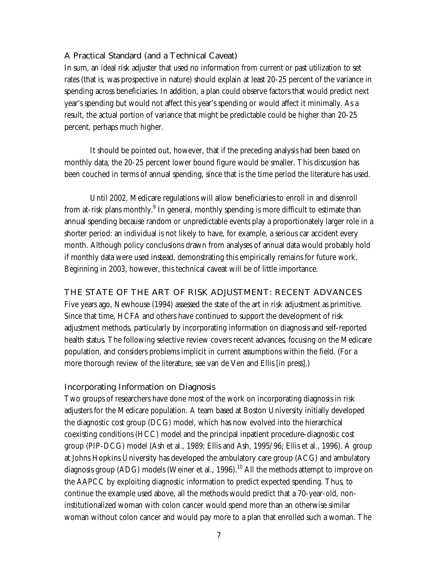## **A Practical Standard (and a Technical Caveat)**

In sum, an ideal risk adjuster that used no information from current or past utilization to set rates (that is, was prospective in nature) should explain at least 20-25 percent of the variance in spending across beneficiaries. In addition, a plan could observe factors that would predict next year's spending but would not affect this year's spending or would affect it minimally. As a result, the actual portion of variance that might be predictable could be higher than 20-25 percent, perhaps much higher.

It should be pointed out, however, that if the preceding analysis had been based on monthly data, the 20-25 percent lower bound figure would be smaller. This discussion has been couched in terms of annual spending, since that is the time period the literature has used.

Until 2002, Medicare regulations will allow beneficiaries to enroll in and disenroll from at-risk plans monthly.<sup>9</sup> In general, monthly spending is more difficult to estimate than annual spending because random or unpredictable events play a proportionately larger role in a shorter period: an individual is not likely to have, for example, a serious car accident every month. Although policy conclusions drawn from analyses of annual data would probably hold if monthly data were used instead, demonstrating this empirically remains for future work. Beginning in 2003, however, this technical caveat will be of little importance.

**THE STATE OF THE ART OF RISK ADJUSTMENT: RECENT ADVANCES**

Five years ago, Newhouse (1994) assessed the state of the art in risk adjustment as primitive. Since that time, HCFA and others have continued to support the development of risk adjustment methods, particularly by incorporating information on diagnosis and self-reported health status. The following selective review covers recent advances, focusing on the Medicare population, and considers problems implicit in current assumptions within the field. (For a more thorough review of the literature, see van de Ven and Ellis [in press].)

## **Incorporating Information on Diagnosis**

Two groups of researchers have done most of the work on incorporating diagnosis in risk adjusters for the Medicare population. A team based at Boston University initially developed the diagnostic cost group (DCG) model, which has now evolved into the hierarchical coexisting conditions (HCC) model and the principal inpatient procedure-diagnostic cost group (PIP-DCG) model (Ash et al., 1989; Ellis and Ash, 1995/96; Ellis et al., 1996). A group at Johns Hopkins University has developed the ambulatory care group (ACG) and ambulatory diagnosis group (ADG) models (Weiner et al., 1996).<sup>10</sup> All the methods attempt to improve on the AAPCC by exploiting diagnostic information to predict expected spending. Thus, to continue the example used above, all the methods would predict that a 70-year-old, noninstitutionalized woman with colon cancer would spend more than an otherwise similar woman without colon cancer and would pay more to a plan that enrolled such a woman. The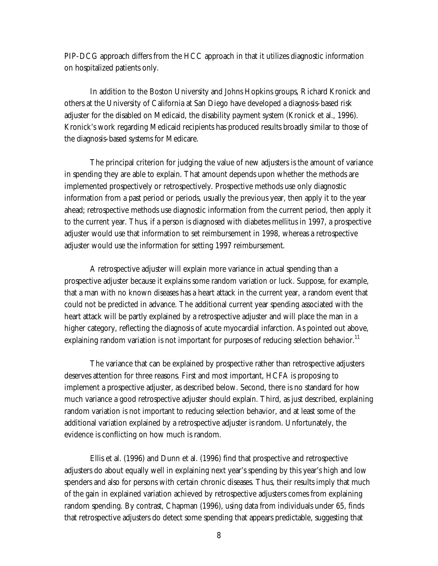PIP-DCG approach differs from the HCC approach in that it utilizes diagnostic information on hospitalized patients only.

In addition to the Boston University and Johns Hopkins groups, Richard Kronick and others at the University of California at San Diego have developed a diagnosis-based risk adjuster for the disabled on Medicaid, the disability payment system (Kronick et al., 1996). Kronick's work regarding Medicaid recipients has produced results broadly similar to those of the diagnosis-based systems for Medicare.

The principal criterion for judging the value of new adjusters is the amount of variance in spending they are able to explain. That amount depends upon whether the methods are implemented prospectively or retrospectively. Prospective methods use only diagnostic information from a past period or periods, usually the previous year, then apply it to the year ahead; retrospective methods use diagnostic information from the current period, then apply it to the current year. Thus, if a person is diagnosed with diabetes mellitus in 1997, a prospective adjuster would use that information to set reimbursement in 1998, whereas a retrospective adjuster would use the information for setting 1997 reimbursement.

A retrospective adjuster will explain more variance in actual spending than a prospective adjuster because it explains some random variation or luck. Suppose, for example, that a man with no known diseases has a heart attack in the current year, a random event that could not be predicted in advance. The additional current year spending associated with the heart attack will be partly explained by a retrospective adjuster and will place the man in a higher category, reflecting the diagnosis of acute myocardial infarction. As pointed out above, explaining random variation is not important for purposes of reducing selection behavior.<sup>11</sup>

The variance that can be explained by prospective rather than retrospective adjusters deserves attention for three reasons. First and most important, HCFA is proposing to implement a prospective adjuster, as described below. Second, there is no standard for how much variance a good retrospective adjuster should explain. Third, as just described, explaining random variation is not important to reducing selection behavior, and at least some of the additional variation explained by a retrospective adjuster is random. Unfortunately, the evidence is conflicting on how much is random.

Ellis et al. (1996) and Dunn et al. (1996) find that prospective and retrospective adjusters do about equally well in explaining next year's spending by this year's high and low spenders and also for persons with certain chronic diseases. Thus, their results imply that much of the gain in explained variation achieved by retrospective adjusters comes from explaining random spending. By contrast, Chapman (1996), using data from individuals under 65, finds that retrospective adjusters do detect some spending that appears predictable, suggesting that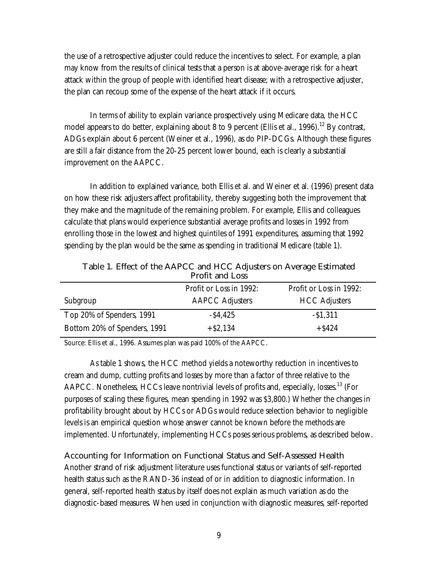the use of a retrospective adjuster could reduce the incentives to select. For example, a plan may know from the results of clinical tests that a person is at above-average risk for a heart attack within the group of people with identified heart disease; with a retrospective adjuster, the plan can recoup some of the expense of the heart attack if it occurs.

In terms of ability to explain variance prospectively using Medicare data, the HCC model appears to do better, explaining about 8 to 9 percent (Ellis et al., 1996).<sup>12</sup> By contrast, ADGs explain about 6 percent (Weiner et al., 1996), as do PIP-DCGs. Although these figures are still a fair distance from the 20-25 percent lower bound, each is clearly a substantial improvement on the AAPCC.

In addition to explained variance, both Ellis et al. and Weiner et al. (1996) present data on how these risk adjusters affect profitability, thereby suggesting both the improvement that they make and the magnitude of the remaining problem. For example, Ellis and colleagues calculate that plans would experience substantial average profits and losses in 1992 from enrolling those in the lowest and highest quintiles of 1991 expenditures, assuming that 1992 spending by the plan would be the same as spending in traditional Medicare (table 1).

| Profit and Loss              |                         |                         |  |
|------------------------------|-------------------------|-------------------------|--|
|                              | Profit or Loss in 1992: | Profit or Loss in 1992: |  |
| Subgroup                     | <b>AAPCC Adjusters</b>  | <b>HCC Adjusters</b>    |  |
| Top 20% of Spenders, 1991    | $-$ \$4,425             | $-$ \$1,311             |  |
| Bottom 20% of Spenders, 1991 | $+ $2.134$              | $+$ \$424               |  |

**Table 1. Effect of the AAPCC and HCC Adjusters on Average Estimated Profit and Loss**

Source: Ellis et al., 1996. Assumes plan was paid 100% of the AAPCC.

As table 1 shows, the HCC method yields a noteworthy reduction in incentives to cream and dump, cutting profits and losses by more than a factor of three relative to the AAPCC. Nonetheless, HCCs leave nontrivial levels of profits and, especially, losses.<sup>13</sup> (For purposes of scaling these figures, mean spending in 1992 was \$3,800.) Whether the changes in profitability brought about by HCCs or ADGs would reduce selection behavior to negligible levels is an empirical question whose answer cannot be known before the methods are implemented. Unfortunately, implementing HCCs poses serious problems, as described below.

**Accounting for Information on Functional Status and Self-Assessed Health** Another strand of risk adjustment literature uses functional status or variants of self-reported health status such as the RAND-36 instead of or in addition to diagnostic information. In general, self-reported health status by itself does not explain as much variation as do the diagnostic-based measures. When used in conjunction with diagnostic measures, self-reported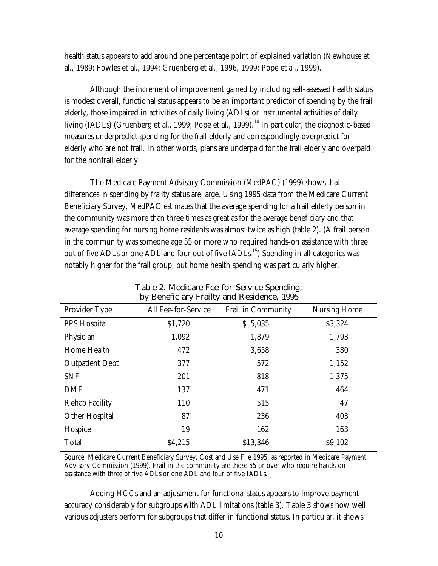health status appears to add around one percentage point of explained variation (Newhouse et al., 1989; Fowles et al., 1994; Gruenberg et al., 1996, 1999; Pope et al., 1999).

Although the increment of improvement gained by including self-assessed health status is modest overall, functional status appears to be an important predictor of spending by the frail elderly, those impaired in activities of daily living (ADLs) or instrumental activities of daily living (IADLs) (Gruenberg et al., 1999; Pope et al., 1999).<sup>14</sup> In particular, the diagnostic-based measures underpredict spending for the frail elderly and correspondingly overpredict for elderly who are not frail. In other words, plans are underpaid for the frail elderly and overpaid for the nonfrail elderly.

The Medicare Payment Advisory Commission (MedPAC) (1999) shows that differences in spending by frailty status are large. Using 1995 data from the Medicare Current Beneficiary Survey, MedPAC estimates that the average spending for a frail elderly person in the community was more than three times as great as for the average beneficiary and that average spending for nursing home residents was almost twice as high (table 2). (A frail person in the community was someone age 55 or more who required hands-on assistance with three out of five ADLs or one ADL and four out of five IADLs.<sup>15</sup>) Spending in all categories was notably higher for the frail group, but home health spending was particularly higher.

| Dy Beneficially Franty and Residence, 1995 |                     |                    |              |
|--------------------------------------------|---------------------|--------------------|--------------|
| Provider Type                              | All Fee-for-Service | Frail in Community | Nursing Home |
| <b>PPS Hospital</b>                        | \$1,720             | \$5,035            | \$3,324      |
| Physician                                  | 1,092               | 1,879              | 1,793        |
| Home Health                                | 472                 | 3,658              | 380          |
| <b>Outpatient Dept</b>                     | 377                 | 572                | 1,152        |
| <b>SNF</b>                                 | 201                 | 818                | 1,375        |
| <b>DME</b>                                 | 137                 | 471                | 464          |
| Rehab Facility                             | 110                 | 515                | 47           |
| Other Hospital                             | 87                  | 236                | 403          |
| Hospice                                    | 19                  | 162                | 163          |
| Total                                      | \$4,215             | \$13,346           | \$9,102      |

**Table 2. Medicare Fee-for-Service Spending, by Beneficiary Frailty and Residence, 1995**

Source: Medicare Current Beneficiary Survey, Cost and Use File 1995, as reported in Medicare Payment Advisory Commission (1999). Frail in the community are those 55 or over who require hands-on assistance with three of five ADLs or one ADL and four of five IADLs.

Adding HCCs and an adjustment for functional status appears to improve payment accuracy considerably for subgroups with ADL limitations (table 3). Table 3 shows how well various adjusters perform for subgroups that differ in functional status. In particular, it shows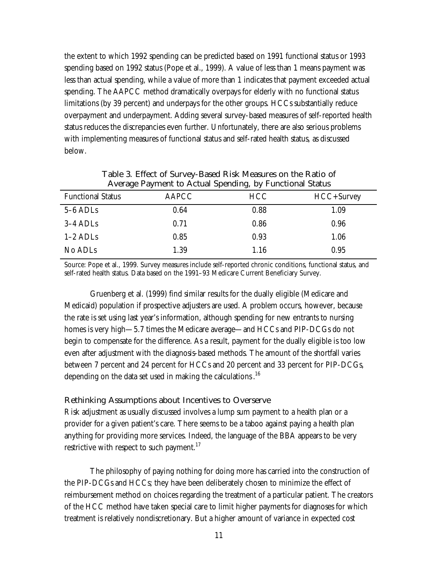the extent to which 1992 spending can be predicted based on 1991 functional status or 1993 spending based on 1992 status (Pope et al., 1999). A value of less than 1 means payment was less than actual spending, while a value of more than 1 indicates that payment exceeded actual spending. The AAPCC method dramatically overpays for elderly with no functional status limitations (by 39 percent) and underpays for the other groups. HCCs substantially reduce overpayment and underpayment. Adding several survey-based measures of self-reported health status reduces the discrepancies even further. Unfortunately, there are also serious problems with implementing measures of functional status and self-rated health status, as discussed below.

| <b>AAPCC</b> | <b>HCC</b> | HCC+Survey |  |  |
|--------------|------------|------------|--|--|
| 0.64         | 0.88       | 1.09       |  |  |
| 0.71         | 0.86       | 0.96       |  |  |
| 0.85         | 0.93       | 1.06       |  |  |
| 1.39         | 1.16       | 0.95       |  |  |
|              |            |            |  |  |

**Table 3. Effect of Survey-Based Risk Measures on the Ratio of Average Payment to Actual Spending, by Functional Status**

Source: Pope et al., 1999. Survey measures include self-reported chronic conditions, functional status, and self-rated health status. Data based on the 1991–93 Medicare Current Beneficiary Survey.

Gruenberg et al. (1999) find similar results for the dually eligible (Medicare and Medicaid) population if prospective adjusters are used. A problem occurs, however, because the rate is set using last year's information, although spending for new entrants to nursing homes is very high—5.7 times the Medicare average—and HCCs and PIP-DCGs do not begin to compensate for the difference. As a result, payment for the dually eligible is too low even after adjustment with the diagnosis-based methods. The amount of the shortfall varies between 7 percent and 24 percent for HCCs and 20 percent and 33 percent for PIP-DCGs, depending on the data set used in making the calculations.<sup>16</sup>

#### **Rethinking Assumptions about Incentives to Overserve**

Risk adjustment as usually discussed involves a lump sum payment to a health plan or a provider for a given patient's care. There seems to be a taboo against paying a health plan anything for providing more services. Indeed, the language of the BBA appears to be very restrictive with respect to such payment.<sup>17</sup>

The philosophy of paying nothing for doing more has carried into the construction of the PIP-DCGs and HCCs; they have been deliberately chosen to minimize the effect of reimbursement method on choices regarding the treatment of a particular patient. The creators of the HCC method have taken special care to limit higher payments for diagnoses for which treatment is relatively nondiscretionary. But a higher amount of variance in expected cost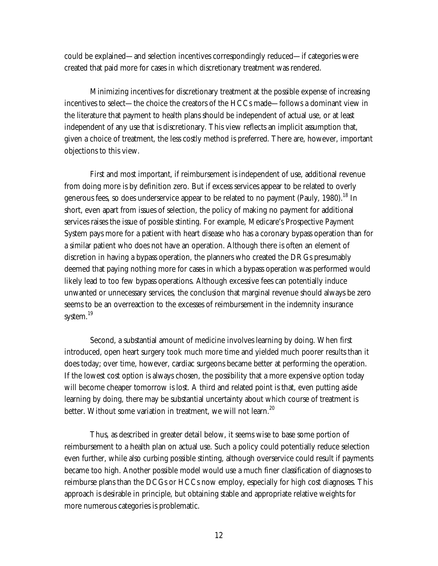could be explained—and selection incentives correspondingly reduced—if categories were created that paid more for cases in which discretionary treatment was rendered.

Minimizing incentives for discretionary treatment at the possible expense of increasing incentives to select—the choice the creators of the HCCs made—follows a dominant view in the literature that payment to health plans should be independent of actual use, or at least independent of any use that is discretionary. This view reflects an implicit assumption that, given a choice of treatment, the less costly method is preferred. There are, however, important objections to this view.

First and most important, if reimbursement is independent of use, additional revenue from doing more is by definition zero. But if excess services appear to be related to overly generous fees, so does underservice appear to be related to no payment (Pauly, 1980).<sup>18</sup> In short, even apart from issues of selection, the policy of making no payment for additional services raises the issue of possible stinting. For example, Medicare's Prospective Payment System pays more for a patient with heart disease who has a coronary bypass operation than for a similar patient who does not have an operation. Although there is often an element of discretion in having a bypass operation, the planners who created the DRGs presumably deemed that paying nothing more for cases in which a bypass operation was performed would likely lead to too few bypass operations. Although excessive fees can potentially induce unwanted or unnecessary services, the conclusion that marginal revenue should always be zero seems to be an overreaction to the excesses of reimbursement in the indemnity insurance system.<sup>19</sup>

Second, a substantial amount of medicine involves learning by doing. When first introduced, open heart surgery took much more time and yielded much poorer results than it does today; over time, however, cardiac surgeons became better at performing the operation. If the lowest cost option is always chosen, the possibility that a more expensive option today will become cheaper tomorrow is lost. A third and related point is that, even putting aside learning by doing, there may be substantial uncertainty about which course of treatment is better. Without some variation in treatment, we will not learn.<sup>20</sup>

Thus, as described in greater detail below, it seems wise to base some portion of reimbursement to a health plan on actual use. Such a policy could potentially reduce selection even further, while also curbing possible stinting, although overservice could result if payments became too high. Another possible model would use a much finer classification of diagnoses to reimburse plans than the DCGs or HCCs now employ, especially for high cost diagnoses. This approach is desirable in principle, but obtaining stable and appropriate relative weights for more numerous categories is problematic.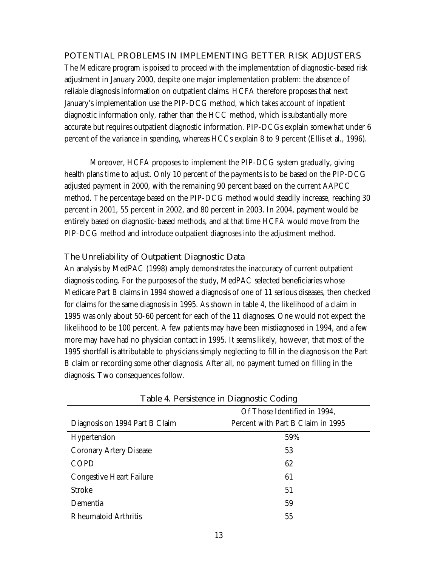## **POTENTIAL PROBLEMS IN IMPLEMENTING BETTER RISK ADJUSTERS**

The Medicare program is poised to proceed with the implementation of diagnostic-based risk adjustment in January 2000, despite one major implementation problem: the absence of reliable diagnosis information on outpatient claims. HCFA therefore proposes that next January's implementation use the PIP-DCG method, which takes account of inpatient diagnostic information only, rather than the HCC method, which is substantially more accurate but requires outpatient diagnostic information. PIP-DCGs explain somewhat under 6 percent of the variance in spending, whereas HCCs explain 8 to 9 percent (Ellis et al., 1996).

Moreover, HCFA proposes to implement the PIP-DCG system gradually, giving health plans time to adjust. Only 10 percent of the payments is to be based on the PIP-DCG adjusted payment in 2000, with the remaining 90 percent based on the current AAPCC method. The percentage based on the PIP-DCG method would steadily increase, reaching 30 percent in 2001, 55 percent in 2002, and 80 percent in 2003. In 2004, payment would be entirely based on diagnostic-based methods, and at that time HCFA would move from the PIP-DCG method and introduce outpatient diagnoses into the adjustment method.

## **The Unreliability of Outpatient Diagnostic Data**

An analysis by MedPAC (1998) amply demonstrates the inaccuracy of current outpatient diagnosis coding. For the purposes of the study, MedPAC selected beneficiaries whose Medicare Part B claims in 1994 showed a diagnosis of one of 11 serious diseases, then checked for claims for the same diagnosis in 1995. As shown in table 4, the likelihood of a claim in 1995 was only about 50-60 percent for each of the 11 diagnoses. One would not expect the likelihood to be 100 percent. A few patients may have been misdiagnosed in 1994, and a few more may have had no physician contact in 1995. It seems likely, however, that most of the 1995 shortfall is attributable to physicians simply neglecting to fill in the diagnosis on the Part B claim or recording some other diagnosis. After all, no payment turned on filling in the diagnosis. Two consequences follow.

| rabic 4. Fersistence in Diagnostic County |                                   |  |
|-------------------------------------------|-----------------------------------|--|
|                                           | Of Those Identified in 1994,      |  |
| Diagnosis on 1994 Part B Claim            | Percent with Part B Claim in 1995 |  |
| Hypertension                              | 59%                               |  |
| Coronary Artery Disease                   | 53                                |  |
| <b>COPD</b>                               | 62                                |  |
| Congestive Heart Failure                  | 61                                |  |
| <b>Stroke</b>                             | 51                                |  |
| Dementia                                  | 59                                |  |
| <b>Rheumatoid Arthritis</b>               | 55                                |  |

**Table 4. Persistence in Diagnostic Coding**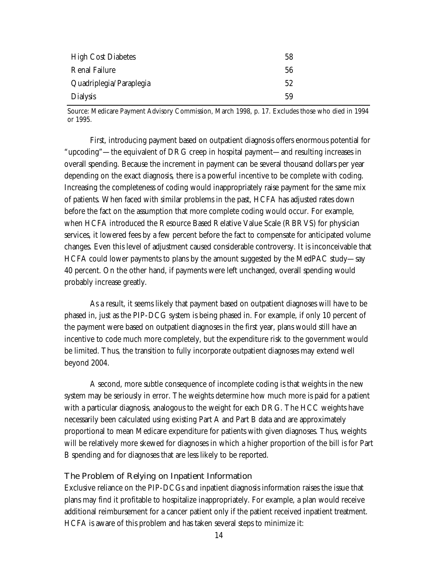| <b>High Cost Diabetes</b> | 58 |
|---------------------------|----|
| <b>Renal Failure</b>      | 56 |
| Quadriplegia/Paraplegia   | 52 |
| Dialysis                  | 59 |

Source: Medicare Payment Advisory Commission, March 1998, p. 17. Excludes those who died in 1994 or 1995.

First, introducing payment based on outpatient diagnosis offers enormous potential for "upcoding"—the equivalent of DRG creep in hospital payment—and resulting increases in overall spending. Because the increment in payment can be several thousand dollars per year depending on the exact diagnosis, there is a powerful incentive to be complete with coding. Increasing the completeness of coding would inappropriately raise payment for the same mix of patients. When faced with similar problems in the past, HCFA has adjusted rates down before the fact on the assumption that more complete coding would occur. For example, when HCFA introduced the Resource Based Relative Value Scale (RBRVS) for physician services, it lowered fees by a few percent before the fact to compensate for anticipated volume changes. Even this level of adjustment caused considerable controversy. It is inconceivable that HCFA could lower payments to plans by the amount suggested by the MedPAC study—say 40 percent. On the other hand, if payments were left unchanged, overall spending would probably increase greatly.

As a result, it seems likely that payment based on outpatient diagnoses will have to be phased in, just as the PIP-DCG system is being phased in. For example, if only 10 percent of the payment were based on outpatient diagnoses in the first year, plans would still have an incentive to code much more completely, but the expenditure risk to the government would be limited. Thus, the transition to fully incorporate outpatient diagnoses may extend well beyond 2004.

A second, more subtle consequence of incomplete coding is that weights in the new system may be seriously in error. The weights determine how much more is paid for a patient with a particular diagnosis, analogous to the weight for each DRG. The HCC weights have necessarily been calculated using existing Part A and Part B data and are approximately proportional to mean Medicare expenditure for patients with given diagnoses. Thus, weights will be relatively more skewed for diagnoses in which a higher proportion of the bill is for Part B spending and for diagnoses that are less likely to be reported.

#### **The Problem of Relying on Inpatient Information**

Exclusive reliance on the PIP-DCGs and inpatient diagnosis information raises the issue that plans may find it profitable to hospitalize inappropriately. For example, a plan would receive additional reimbursement for a cancer patient only if the patient received inpatient treatment. HCFA is aware of this problem and has taken several steps to minimize it: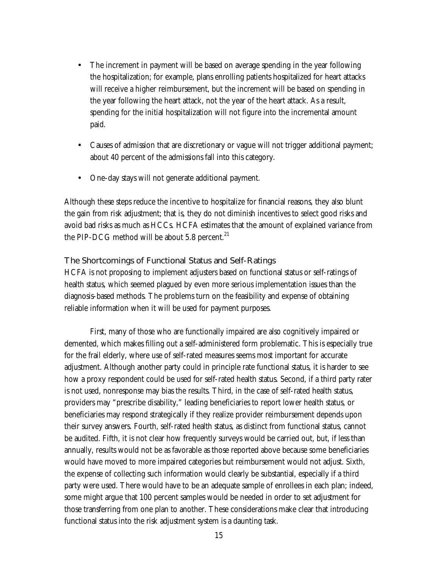- The increment in payment will be based on average spending in the year following the hospitalization; for example, plans enrolling patients hospitalized for heart attacks will receive a higher reimbursement, but the increment will be based on spending in the year following the heart attack, not the year of the heart attack. As a result, spending for the initial hospitalization will not figure into the incremental amount paid.
- Causes of admission that are discretionary or vague will not trigger additional payment; about 40 percent of the admissions fall into this category.
- One-day stays will not generate additional payment.

Although these steps reduce the incentive to hospitalize for financial reasons, they also blunt the gain from risk adjustment; that is, they do not diminish incentives to select good risks and avoid bad risks as much as HCCs. HCFA estimates that the amount of explained variance from the PIP-DCG method will be about 5.8 percent. $21$ 

### **The Shortcomings of Functional Status and Self-Ratings**

HCFA is not proposing to implement adjusters based on functional status or self-ratings of health status, which seemed plagued by even more serious implementation issues than the diagnosis-based methods. The problems turn on the feasibility and expense of obtaining reliable information when it will be used for payment purposes.

First, many of those who are functionally impaired are also cognitively impaired or demented, which makes filling out a self-administered form problematic. This is especially true for the frail elderly, where use of self-rated measures seems most important for accurate adjustment. Although another party could in principle rate functional status, it is harder to see how a proxy respondent could be used for self-rated health status. Second, if a third party rater is not used, nonresponse may bias the results. Third, in the case of self-rated health status, providers may "prescribe disability," leading beneficiaries to report lower health status, or beneficiaries may respond strategically if they realize provider reimbursement depends upon their survey answers. Fourth, self-rated health status, as distinct from functional status, cannot be audited. Fifth, it is not clear how frequently surveys would be carried out, but, if less than annually, results would not be as favorable as those reported above because some beneficiaries would have moved to more impaired categories but reimbursement would not adjust. Sixth, the expense of collecting such information would clearly be substantial, especially if a third party were used. There would have to be an adequate sample of enrollees in each plan; indeed, some might argue that 100 percent samples would be needed in order to set adjustment for those transferring from one plan to another. These considerations make clear that introducing functional status into the risk adjustment system is a daunting task.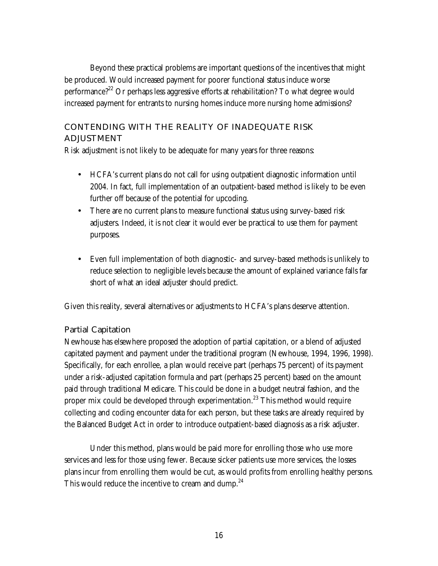Beyond these practical problems are important questions of the incentives that might be produced. Would increased payment for poorer functional status induce worse performance?<sup>22</sup> Or perhaps less aggressive efforts at rehabilitation? To what degree would increased payment for entrants to nursing homes induce more nursing home admissions?

## **CONTENDING WITH THE REALITY OF INADEQUATE RISK ADJUSTMENT**

Risk adjustment is not likely to be adequate for many years for three reasons:

- HCFA's current plans do not call for using outpatient diagnostic information until 2004. In fact, full implementation of an outpatient-based method is likely to be even further off because of the potential for upcoding.
- There are no current plans to measure functional status using survey-based risk adjusters. Indeed, it is not clear it would ever be practical to use them for payment purposes.
- Even full implementation of both diagnostic- and survey-based methods is unlikely to reduce selection to negligible levels because the amount of explained variance falls far short of what an ideal adjuster should predict.

Given this reality, several alternatives or adjustments to HCFA's plans deserve attention.

## **Partial Capitation**

Newhouse has elsewhere proposed the adoption of partial capitation, or a blend of adjusted capitated payment and payment under the traditional program (Newhouse, 1994, 1996, 1998). Specifically, for each enrollee, a plan would receive part (perhaps 75 percent) of its payment under a risk-adjusted capitation formula and part (perhaps 25 percent) based on the amount paid through traditional Medicare. This could be done in a budget neutral fashion, and the proper mix could be developed through experimentation.<sup>23</sup> This method would require collecting and coding encounter data for each person, but these tasks are already required by the Balanced Budget Act in order to introduce outpatient-based diagnosis as a risk adjuster.

Under this method, plans would be paid more for enrolling those who use more services and less for those using fewer. Because sicker patients use more services, the losses plans incur from enrolling them would be cut, as would profits from enrolling healthy persons. This would reduce the incentive to cream and dump.<sup>24</sup>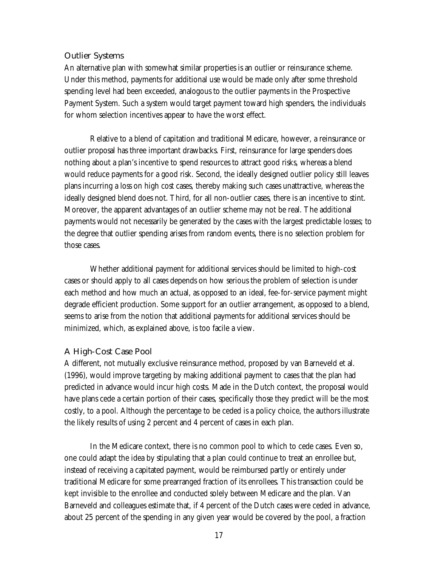### **Outlier Systems**

An alternative plan with somewhat similar properties is an outlier or reinsurance scheme. Under this method, payments for additional use would be made only after some threshold spending level had been exceeded, analogous to the outlier payments in the Prospective Payment System. Such a system would target payment toward high spenders, the individuals for whom selection incentives appear to have the worst effect.

Relative to a blend of capitation and traditional Medicare, however, a reinsurance or outlier proposal has three important drawbacks. First, reinsurance for large spenders does nothing about a plan's incentive to spend resources to attract good risks, whereas a blend would reduce payments for a good risk. Second, the ideally designed outlier policy still leaves plans incurring a loss on high cost cases, thereby making such cases unattractive, whereas the ideally designed blend does not. Third, for all non-outlier cases, there is an incentive to stint. Moreover, the apparent advantages of an outlier scheme may not be real. The additional payments would not necessarily be generated by the cases with the largest predictable losses; to the degree that outlier spending arises from random events, there is no selection problem for those cases.

Whether additional payment for additional services should be limited to high-cost cases or should apply to all cases depends on how serious the problem of selection is under each method and how much an actual, as opposed to an ideal, fee-for-service payment might degrade efficient production. Some support for an outlier arrangement, as opposed to a blend, seems to arise from the notion that additional payments for additional services should be minimized, which, as explained above, is too facile a view.

## **A High-Cost Case Pool**

A different, not mutually exclusive reinsurance method, proposed by van Barneveld et al. (1996), would improve targeting by making additional payment to cases that the plan had predicted in advance would incur high costs. Made in the Dutch context, the proposal would have plans cede a certain portion of their cases, specifically those they predict will be the most costly, to a pool. Although the percentage to be ceded is a policy choice, the authors illustrate the likely results of using 2 percent and 4 percent of cases in each plan.

In the Medicare context, there is no common pool to which to cede cases. Even so, one could adapt the idea by stipulating that a plan could continue to treat an enrollee but, instead of receiving a capitated payment, would be reimbursed partly or entirely under traditional Medicare for some prearranged fraction of its enrollees. This transaction could be kept invisible to the enrollee and conducted solely between Medicare and the plan. Van Barneveld and colleagues estimate that, if 4 percent of the Dutch cases were ceded in advance, about 25 percent of the spending in any given year would be covered by the pool, a fraction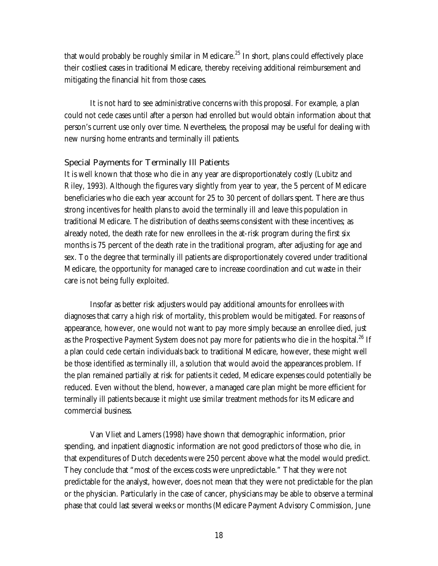that would probably be roughly similar in Medicare.<sup>25</sup> In short, plans could effectively place their costliest cases in traditional Medicare, thereby receiving additional reimbursement and mitigating the financial hit from those cases.

It is not hard to see administrative concerns with this proposal. For example, a plan could not cede cases until after a person had enrolled but would obtain information about that person's current use only over time. Nevertheless, the proposal may be useful for dealing with new nursing home entrants and terminally ill patients.

### **Special Payments for Terminally Ill Patients**

It is well known that those who die in any year are disproportionately costly (Lubitz and Riley, 1993). Although the figures vary slightly from year to year, the 5 percent of Medicare beneficiaries who die each year account for 25 to 30 percent of dollars spent. There are thus strong incentives for health plans to avoid the terminally ill and leave this population in traditional Medicare. The distribution of deaths seems consistent with these incentives; as already noted, the death rate for new enrollees in the at-risk program during the first six months is 75 percent of the death rate in the traditional program, after adjusting for age and sex. To the degree that terminally ill patients are disproportionately covered under traditional Medicare, the opportunity for managed care to increase coordination and cut waste in their care is not being fully exploited.

Insofar as better risk adjusters would pay additional amounts for enrollees with diagnoses that carry a high risk of mortality, this problem would be mitigated. For reasons of appearance, however, one would not want to pay more simply because an enrollee died, just as the Prospective Payment System does not pay more for patients who die in the hospital.<sup>26</sup> If a plan could cede certain individuals back to traditional Medicare, however, these might well be those identified as terminally ill, a solution that would avoid the appearances problem. If the plan remained partially at risk for patients it ceded, Medicare expenses could potentially be reduced. Even without the blend, however, a managed care plan might be more efficient for terminally ill patients because it might use similar treatment methods for its Medicare and commercial business.

Van Vliet and Lamers (1998) have shown that demographic information, prior spending, and inpatient diagnostic information are not good predictors of those who die, in that expenditures of Dutch decedents were 250 percent above what the model would predict. They conclude that "most of the excess costs were unpredictable." That they were not predictable for the analyst, however, does not mean that they were not predictable for the plan or the physician. Particularly in the case of cancer, physicians may be able to observe a terminal phase that could last several weeks or months (Medicare Payment Advisory Commission, June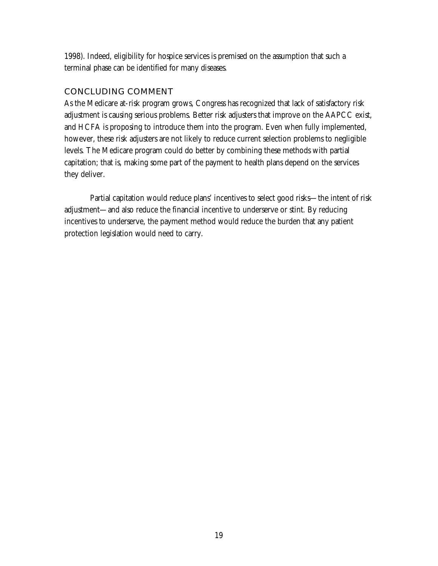1998). Indeed, eligibility for hospice services is premised on the assumption that such a terminal phase can be identified for many diseases.

## **CONCLUDING COMMENT**

As the Medicare at-risk program grows, Congress has recognized that lack of satisfactory risk adjustment is causing serious problems. Better risk adjusters that improve on the AAPCC exist, and HCFA is proposing to introduce them into the program. Even when fully implemented, however, these risk adjusters are not likely to reduce current selection problems to negligible levels. The Medicare program could do better by combining these methods with partial capitation; that is, making some part of the payment to health plans depend on the services they deliver.

Partial capitation would reduce plans' incentives to select good risks—the intent of risk adjustment—and also reduce the financial incentive to underserve or stint. By reducing incentives to underserve, the payment method would reduce the burden that any patient protection legislation would need to carry.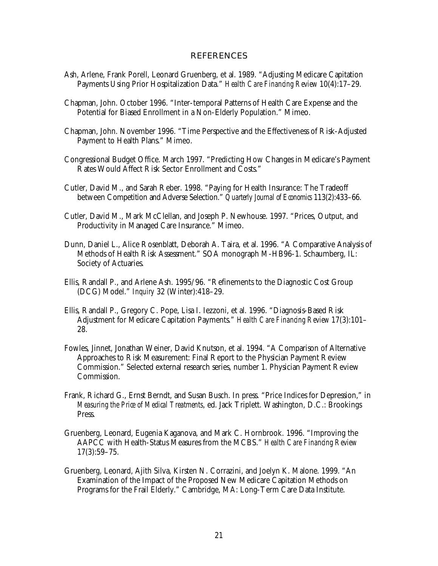#### **REFERENCES**

- Ash, Arlene, Frank Porell, Leonard Gruenberg, et al. 1989. "Adjusting Medicare Capitation Payments Using Prior Hospitalization Data." *Health Care Financing Review* 10(4):17–29.
- Chapman, John. October 1996. "Inter-temporal Patterns of Health Care Expense and the Potential for Biased Enrollment in a Non-Elderly Population." Mimeo.
- Chapman, John. November 1996. "Time Perspective and the Effectiveness of Risk-Adjusted Payment to Health Plans." Mimeo.
- Congressional Budget Office. March 1997. "Predicting How Changes in Medicare's Payment Rates Would Affect Risk Sector Enrollment and Costs."
- Cutler, David M., and Sarah Reber. 1998. "Paying for Health Insurance: The Tradeoff between Competition and Adverse Selection." *Quarterly Journal of Economics* 113(2):433–66.
- Cutler, David M., Mark McClellan, and Joseph P. Newhouse. 1997. "Prices, Output, and Productivity in Managed Care Insurance." Mimeo.
- Dunn, Daniel L., Alice Rosenblatt, Deborah A. Taira, et al. 1996. "A Comparative Analysis of Methods of Health Risk Assessment." SOA monograph M-HB96-1. Schaumberg, IL: Society of Actuaries.
- Ellis, Randall P., and Arlene Ash. 1995/96. "Refinements to the Diagnostic Cost Group (DCG) Model." *Inquiry* 32 (Winter):418–29.
- Ellis, Randall P., Gregory C. Pope, Lisa I. Iezzoni, et al. 1996. "Diagnosis-Based Risk Adjustment for Medicare Capitation Payments." *Health Care Financing Review* 17(3):101– 28.
- Fowles, Jinnet, Jonathan Weiner, David Knutson, et al. 1994. "A Comparison of Alternative Approaches to Risk Measurement: Final Report to the Physician Payment Review Commission." Selected external research series, number 1. Physician Payment Review Commission.
- Frank, Richard G., Ernst Berndt, and Susan Busch. In press. "Price Indices for Depression," in *Measuring the Price of Medical Treatments*, ed. Jack Triplett. Washington, D.C.: Brookings Press.
- Gruenberg, Leonard, Eugenia Kaganova, and Mark C. Hornbrook. 1996. "Improving the AAPCC with Health-Status Measures from the MCBS." *Health Care Financing Review* 17(3):59–75.
- Gruenberg, Leonard, Ajith Silva, Kirsten N. Corrazini, and Joelyn K. Malone. 1999. "An Examination of the Impact of the Proposed New Medicare Capitation Methods on Programs for the Frail Elderly." Cambridge, MA: Long-Term Care Data Institute.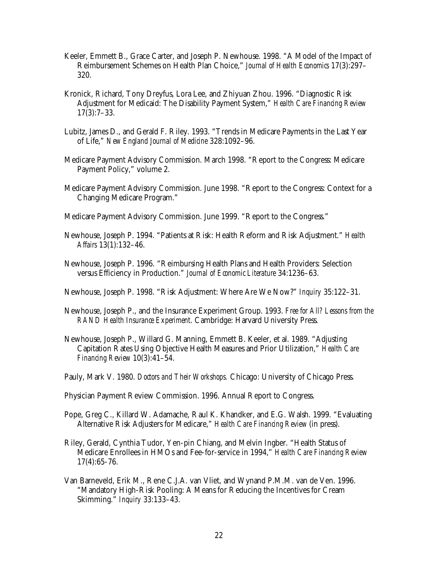- Keeler, Emmett B., Grace Carter, and Joseph P. Newhouse. 1998. "A Model of the Impact of Reimbursement Schemes on Health Plan Choice," *Journal of Health Economics* 17(3):297– 320.
- Kronick, Richard, Tony Dreyfus, Lora Lee, and Zhiyuan Zhou. 1996. "Diagnostic Risk Adjustment for Medicaid: The Disability Payment System," *Health Care Financing Review* 17(3):7–33.
- Lubitz, James D., and Gerald F. Riley. 1993. "Trends in Medicare Payments in the Last Year of Life," *New England Journal of Medicine* 328:1092–96.
- Medicare Payment Advisory Commission. March 1998. "Report to the Congress: Medicare Payment Policy," volume 2.
- Medicare Payment Advisory Commission. June 1998. "Report to the Congress: Context for a Changing Medicare Program."
- Medicare Payment Advisory Commission. June 1999. "Report to the Congress."
- Newhouse, Joseph P. 1994. "Patients at Risk: Health Reform and Risk Adjustment." *Health Affairs* 13(1):132–46.
- Newhouse, Joseph P. 1996. "Reimbursing Health Plans and Health Providers: Selection versus Efficiency in Production." *Journal of Economic Literature* 34:1236–63.
- Newhouse, Joseph P. 1998. "Risk Adjustment: Where Are We Now?" *Inquiry* 35:122–31.
- Newhouse, Joseph P., and the Insurance Experiment Group. 1993. *Free for All? Lessons from the RAND Health Insurance Experiment*. Cambridge: Harvard University Press.
- Newhouse, Joseph P., Willard G. Manning, Emmett B. Keeler, et al. 1989. "Adjusting Capitation Rates Using Objective Health Measures and Prior Utilization," *Health Care Financing Review* 10(3):41–54.
- Pauly, Mark V. 1980. *Doctors and Their Workshops.* Chicago: University of Chicago Press.
- Physician Payment Review Commission. 1996. Annual Report to Congress.
- Pope, Greg C., Killard W. Adamache, Raul K. Khandker, and E.G. Walsh. 1999. "Evaluating Alternative Risk Adjusters for Medicare," *Health Care Financing Review* (in press).
- Riley, Gerald, Cynthia Tudor, Yen-pin Chiang, and Melvin Ingber. "Health Status of Medicare Enrollees in HMOs and Fee-for-service in 1994," *Health Care Financing Review* 17(4):65-76.
- Van Barneveld, Erik M., Rene C.J.A. van Vliet, and Wynand P.M.M. van de Ven. 1996. "Mandatory High-Risk Pooling: A Means for Reducing the Incentives for Cream Skimming." *Inquiry* 33:133–43.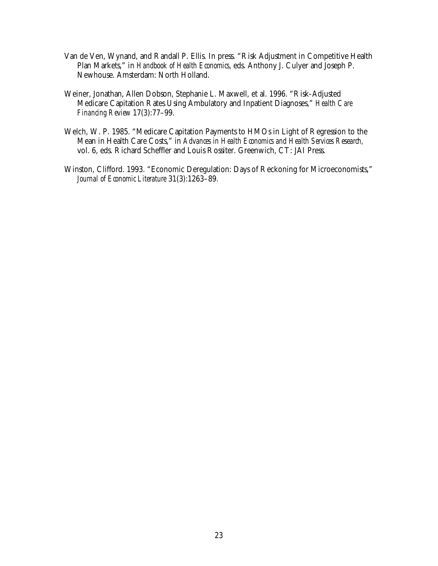- Van de Ven, Wynand, and Randall P. Ellis. In press. "Risk Adjustment in Competitive Health Plan Markets," in *Handbook of Health Economics*, eds. Anthony J. Culyer and Joseph P. Newhouse. Amsterdam: North Holland.
- Weiner, Jonathan, Allen Dobson, Stephanie L. Maxwell, et al. 1996. "Risk-Adjusted Medicare Capitation Rates Using Ambulatory and Inpatient Diagnoses," *Health Care Financing Review* 17(3):77–99.
- Welch, W. P. 1985. "Medicare Capitation Payments to HMOs in Light of Regression to the Mean in Health Care Costs," in *Advances in Health Economics and Health Services Research,* vol. 6, eds. Richard Scheffler and Louis Rossiter. Greenwich, CT: JAI Press.
- Winston, Clifford. 1993. "Economic Deregulation: Days of Reckoning for Microeconomists," *Journal of Economic Literature* 31(3):1263–89.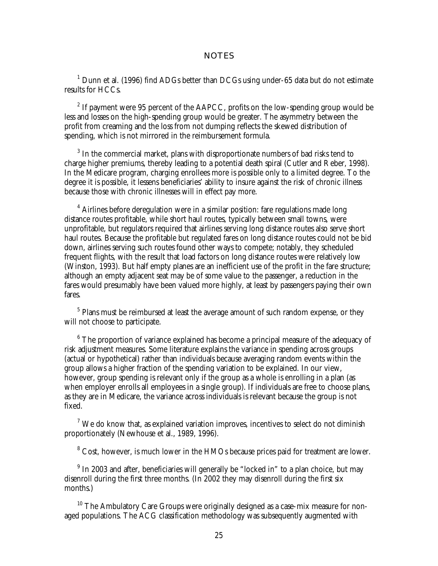#### **NOTES**

 $^1$  Dunn et al. (1996) find ADGs better than DCGs using under-65 data but do not estimate results for HCCs.

<sup>2</sup> If payment were 95 percent of the AAPCC, profits on the low-spending group would be less and losses on the high-spending group would be greater. The asymmetry between the profit from creaming and the loss from not dumping reflects the skewed distribution of spending, which is not mirrored in the reimbursement formula.

 $3$  In the commercial market, plans with disproportionate numbers of bad risks tend to charge higher premiums, thereby leading to a potential death spiral (Cutler and Reber, 1998). In the Medicare program, charging enrollees more is possible only to a limited degree. To the degree it is possible, it lessens beneficiaries' ability to insure against the risk of chronic illness because those with chronic illnesses will in effect pay more.

 $4$  Airlines before deregulation were in a similar position: fare regulations made long distance routes profitable, while short haul routes, typically between small towns, were unprofitable, but regulators required that airlines serving long distance routes also serve short haul routes. Because the profitable but regulated fares on long distance routes could not be bid down, airlines serving such routes found other ways to compete; notably, they scheduled frequent flights, with the result that load factors on long distance routes were relatively low (Winston, 1993). But half empty planes are an inefficient use of the profit in the fare structure; although an empty adjacent seat may be of some value to the passenger, a reduction in the fares would presumably have been valued more highly, at least by passengers paying their own fares.

<sup>5</sup> Plans must be reimbursed at least the average amount of such random expense, or they will not choose to participate.

<sup>6</sup> The proportion of variance explained has become a principal measure of the adequacy of risk adjustment measures. Some literature explains the variance in spending across groups (actual or hypothetical) rather than individuals because averaging random events within the group allows a higher fraction of the spending variation to be explained. In our view, however, group spending is relevant only if the group as a whole is enrolling in a plan (as when employer enrolls all employees in a single group). If individuals are free to choose plans, as they are in Medicare, the variance across individuals is relevant because the group is not fixed.

 $<sup>7</sup>$  We do know that, as explained variation improves, incentives to select do not diminish</sup> proportionately (Newhouse et al., 1989, 1996).

 $8$  Cost, however, is much lower in the HMOs because prices paid for treatment are lower.

 $^{9}$  In 2003 and after, beneficiaries will generally be "locked in" to a plan choice, but may disenroll during the first three months. (In 2002 they may disenroll during the first six months.)

<sup>10</sup> The Ambulatory Care Groups were originally designed as a case-mix measure for nonaged populations. The ACG classification methodology was subsequently augmented with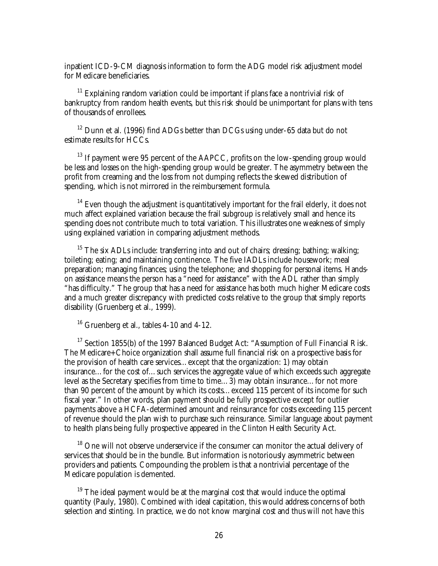inpatient ICD-9-CM diagnosis information to form the ADG model risk adjustment model for Medicare beneficiaries.

 $11$  Explaining random variation could be important if plans face a nontrivial risk of bankruptcy from random health events, but this risk should be unimportant for plans with tens of thousands of enrollees.

 $12$  Dunn et al. (1996) find ADGs better than DCGs using under-65 data but do not estimate results for HCCs.

 $13$  If payment were 95 percent of the AAPCC, profits on the low-spending group would be less and losses on the high-spending group would be greater. The asymmetry between the profit from creaming and the loss from not dumping reflects the skewed distribution of spending, which is not mirrored in the reimbursement formula.

 $14$  Even though the adjustment is quantitatively important for the frail elderly, it does not much affect explained variation because the frail subgroup is relatively small and hence its spending does not contribute much to total variation. This illustrates one weakness of simply using explained variation in comparing adjustment methods.

<sup>15</sup> The six ADLs include: transferring into and out of chairs; dressing; bathing; walking; toileting; eating; and maintaining continence. The five IADLs include housework; meal preparation; managing finances; using the telephone; and shopping for personal items. Handson assistance means the person has a "need for assistance" with the ADL rather than simply "has difficulty." The group that has a need for assistance has both much higher Medicare costs and a much greater discrepancy with predicted costs relative to the group that simply reports disability (Gruenberg et al., 1999).

<sup>16</sup> Gruenberg et al., tables 4-10 and 4-12.

<sup>17</sup> Section 1855(b) of the 1997 Balanced Budget Act: "Assumption of Full Financial Risk. The Medicare+Choice organization shall assume full financial risk on a prospective basis for the provision of health care services…except that the organization: 1) may obtain insurance…for the cost of…such services the aggregate value of which exceeds such aggregate level as the Secretary specifies from time to time…3) may obtain insurance…for not more than 90 percent of the amount by which its costs…exceed 115 percent of its income for such fiscal year." In other words, plan payment should be fully prospective except for outlier payments above a HCFA-determined amount and reinsurance for costs exceeding 115 percent of revenue should the plan wish to purchase such reinsurance. Similar language about payment to health plans being fully prospective appeared in the Clinton Health Security Act.

<sup>18</sup> One will not observe underservice if the consumer can monitor the actual delivery of services that should be in the bundle. But information is notoriously asymmetric between providers and patients. Compounding the problem is that a nontrivial percentage of the Medicare population is demented.

 $19$  The ideal payment would be at the marginal cost that would induce the optimal quantity (Pauly, 1980). Combined with ideal capitation, this would address concerns of both selection and stinting. In practice, we do not know marginal cost and thus will not have this